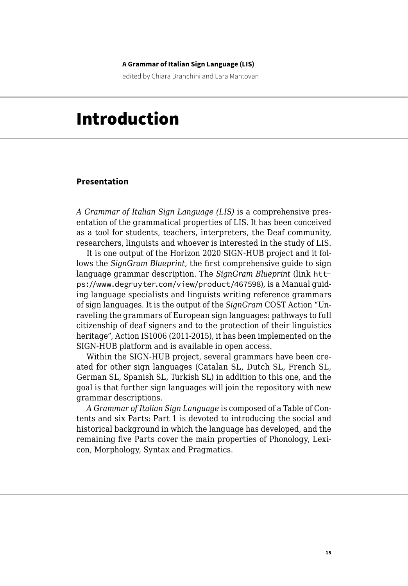#### **A Grammar of Italian Sign Language (LIS)**

edited by Chiara Branchini and Lara Mantovan

# Introduction

# **Presentation**

*A Grammar of Italian Sign Language (LIS)* is a comprehensive presentation of the grammatical properties of LIS. It has been conceived as a tool for students, teachers, interpreters, the Deaf community, researchers, linguists and whoever is interested in the study of LIS.

It is one output of the Horizon 2020 SIGN-HUB project and it follows the *SignGram Blueprint*, the first comprehensive guide to sign language grammar description. The *SignGram Blueprint* (link [htt](https://www.degruyter.com/view/product/467598)[ps://www.degruyter.com/view/product/467598](https://www.degruyter.com/view/product/467598)), is a Manual guiding language specialists and linguists writing reference grammars of sign languages. It is the output of the *SignGram* COST Action "Unraveling the grammars of European sign languages: pathways to full citizenship of deaf signers and to the protection of their linguistics heritage", Action IS1006 (2011-2015), it has been implemented on the SIGN-HUB platform and is available in open access.

Within the SIGN-HUB project, several grammars have been created for other sign languages (Catalan SL, Dutch SL, French SL, German SL, Spanish SL, Turkish SL) in addition to this one, and the goal is that further sign languages will join the repository with new grammar descriptions.

*A Grammar of Italian Sign Language* is composed of a Table of Contents and six Parts: Part 1 is devoted to introducing the social and historical background in which the language has developed, and the remaining five Parts cover the main properties of Phonology, Lexicon, Morphology, Syntax and Pragmatics.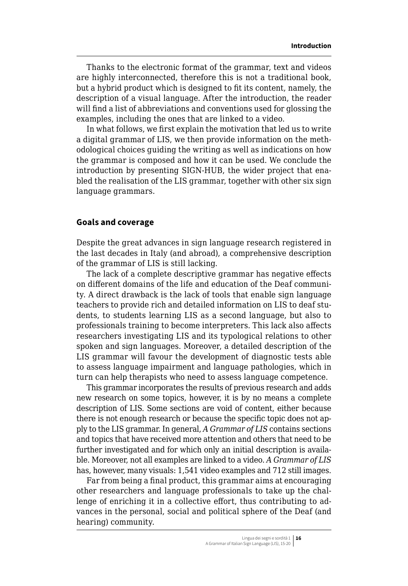Thanks to the electronic format of the grammar, text and videos are highly interconnected, therefore this is not a traditional book, but a hybrid product which is designed to fit its content, namely, the description of a visual language. After the introduction, the reader will find a list of abbreviations and conventions used for glossing the examples, including the ones that are linked to a video.

In what follows, we first explain the motivation that led us to write a digital grammar of LIS, we then provide information on the methodological choices guiding the writing as well as indications on how the grammar is composed and how it can be used. We conclude the introduction by presenting SIGN-HUB, the wider project that enabled the realisation of the LIS grammar, together with other six sign language grammars.

## **Goals and coverage**

Despite the great advances in sign language research registered in the last decades in Italy (and abroad), a comprehensive description of the grammar of LIS is still lacking.

The lack of a complete descriptive grammar has negative effects on different domains of the life and education of the Deaf community. A direct drawback is the lack of tools that enable sign language teachers to provide rich and detailed information on LIS to deaf students, to students learning LIS as a second language, but also to professionals training to become interpreters. This lack also affects researchers investigating LIS and its typological relations to other spoken and sign languages. Moreover, a detailed description of the LIS grammar will favour the development of diagnostic tests able to assess language impairment and language pathologies, which in turn can help therapists who need to assess language competence.

This grammar incorporates the results of previous research and adds new research on some topics, however, it is by no means a complete description of LIS. Some sections are void of content, either because there is not enough research or because the specific topic does not apply to the LIS grammar. In general, *A Grammar of LIS* contains sections and topics that have received more attention and others that need to be further investigated and for which only an initial description is available. Moreover, not all examples are linked to a video. *A Grammar of LIS* has, however, many visuals: 1,541 video examples and 712 still images.

Far from being a final product, this grammar aims at encouraging other researchers and language professionals to take up the challenge of enriching it in a collective effort, thus contributing to advances in the personal, social and political sphere of the Deaf (and hearing) community.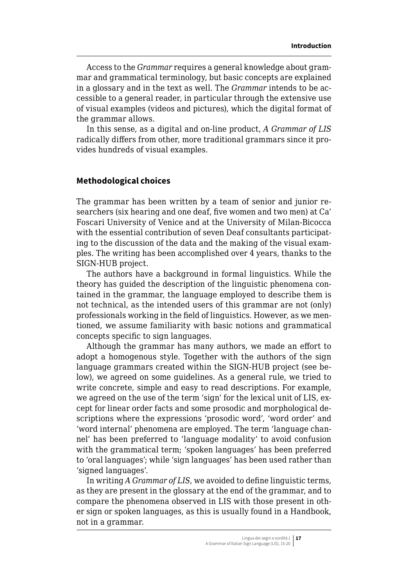Access to the *Grammar* requires a general knowledge about grammar and grammatical terminology, but basic concepts are explained in a glossary and in the text as well. The *Grammar* intends to be accessible to a general reader, in particular through the extensive use of visual examples (videos and pictures), which the digital format of the grammar allows.

In this sense, as a digital and on-line product, *A Grammar of LIS* radically differs from other, more traditional grammars since it provides hundreds of visual examples.

### **Methodological choices**

The grammar has been written by a team of senior and junior researchers (six hearing and one deaf, five women and two men) at Ca' Foscari University of Venice and at the University of Milan-Bicocca with the essential contribution of seven Deaf consultants participating to the discussion of the data and the making of the visual examples. The writing has been accomplished over 4 years, thanks to the SIGN-HUB project.

The authors have a background in formal linguistics. While the theory has guided the description of the linguistic phenomena contained in the grammar, the language employed to describe them is not technical, as the intended users of this grammar are not (only) professionals working in the field of linguistics. However, as we mentioned, we assume familiarity with basic notions and grammatical concepts specific to sign languages.

Although the grammar has many authors, we made an effort to adopt a homogenous style. Together with the authors of the sign language grammars created within the SIGN-HUB project (see below), we agreed on some guidelines. As a general rule, we tried to write concrete, simple and easy to read descriptions. For example, we agreed on the use of the term 'sign' for the lexical unit of LIS, except for linear order facts and some prosodic and morphological descriptions where the expressions 'prosodic word', 'word order' and 'word internal' phenomena are employed. The term 'language channel' has been preferred to 'language modality' to avoid confusion with the grammatical term; 'spoken languages' has been preferred to 'oral languages'; while 'sign languages' has been used rather than 'signed languages'.

In writing *A Grammar of LIS*, we avoided to define linguistic terms, as they are present in the glossary at the end of the grammar, and to compare the phenomena observed in LIS with those present in other sign or spoken languages, as this is usually found in a Handbook, not in a grammar.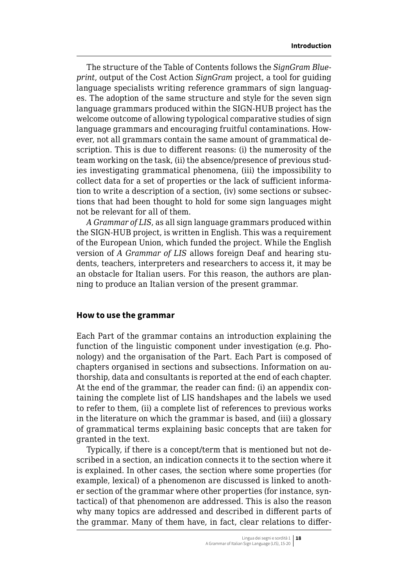The structure of the Table of Contents follows the *SignGram Blueprint*, output of the Cost Action *SignGram* project, a tool for guiding language specialists writing reference grammars of sign languages. The adoption of the same structure and style for the seven sign language grammars produced within the SIGN-HUB project has the welcome outcome of allowing typological comparative studies of sign language grammars and encouraging fruitful contaminations. However, not all grammars contain the same amount of grammatical description. This is due to different reasons: (i) the numerosity of the team working on the task, (ii) the absence/presence of previous studies investigating grammatical phenomena, (iii) the impossibility to collect data for a set of properties or the lack of sufficient information to write a description of a section, (iv) some sections or subsections that had been thought to hold for some sign languages might not be relevant for all of them.

*A Grammar of LIS*, as all sign language grammars produced within the SIGN-HUB project, is written in English. This was a requirement of the European Union, which funded the project. While the English version of *A Grammar of LIS* allows foreign Deaf and hearing students, teachers, interpreters and researchers to access it, it may be an obstacle for Italian users. For this reason, the authors are planning to produce an Italian version of the present grammar.

#### **How to use the grammar**

Each Part of the grammar contains an introduction explaining the function of the linguistic component under investigation (e.g. Phonology) and the organisation of the Part. Each Part is composed of chapters organised in sections and subsections. Information on authorship, data and consultants is reported at the end of each chapter. At the end of the grammar, the reader can find: (i) an appendix containing the complete list of LIS handshapes and the labels we used to refer to them, (ii) a complete list of references to previous works in the literature on which the grammar is based, and (iii) a glossary of grammatical terms explaining basic concepts that are taken for granted in the text.

Typically, if there is a concept/term that is mentioned but not described in a section, an indication connects it to the section where it is explained. In other cases, the section where some properties (for example, lexical) of a phenomenon are discussed is linked to another section of the grammar where other properties (for instance, syntactical) of that phenomenon are addressed. This is also the reason why many topics are addressed and described in different parts of the grammar. Many of them have, in fact, clear relations to differ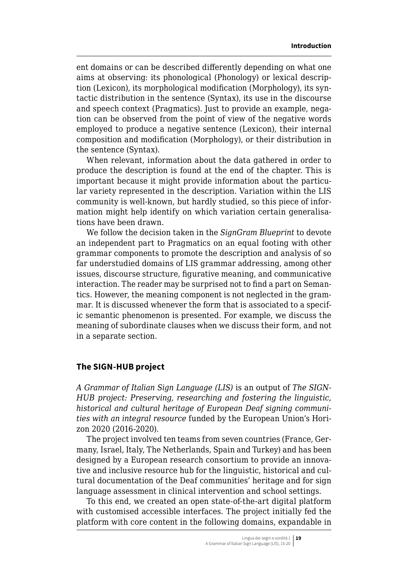ent domains or can be described differently depending on what one aims at observing: its phonological (Phonology) or lexical description (Lexicon), its morphological modification (Morphology), its syntactic distribution in the sentence (Syntax), its use in the discourse and speech context (Pragmatics). Just to provide an example, negation can be observed from the point of view of the negative words employed to produce a negative sentence (Lexicon), their internal composition and modification (Morphology), or their distribution in the sentence (Syntax).

When relevant, information about the data gathered in order to produce the description is found at the end of the chapter. This is important because it might provide information about the particular variety represented in the description. Variation within the LIS community is well-known, but hardly studied, so this piece of information might help identify on which variation certain generalisations have been drawn.

We follow the decision taken in the *SignGram Blueprint* to devote an independent part to Pragmatics on an equal footing with other grammar components to promote the description and analysis of so far understudied domains of LIS grammar addressing, among other issues, discourse structure, figurative meaning, and communicative interaction. The reader may be surprised not to find a part on Semantics. However, the meaning component is not neglected in the grammar. It is discussed whenever the form that is associated to a specific semantic phenomenon is presented. For example, we discuss the meaning of subordinate clauses when we discuss their form, and not in a separate section.

#### **The SIGN-HUB project**

*A Grammar of Italian Sign Language (LIS)* is an output of *The SIGN-HUB project: Preserving, researching and fostering the linguistic, historical and cultural heritage of European Deaf signing communities with an integral resource* funded by the European Union's Horizon 2020 (2016-2020).

The project involved ten teams from seven countries (France, Germany, Israel, Italy, The Netherlands, Spain and Turkey) and has been designed by a European research consortium to provide an innovative and inclusive resource hub for the linguistic, historical and cultural documentation of the Deaf communities' heritage and for sign language assessment in clinical intervention and school settings.

To this end, we created an open state-of-the-art digital platform with customised accessible interfaces. The project initially fed the platform with core content in the following domains, expandable in